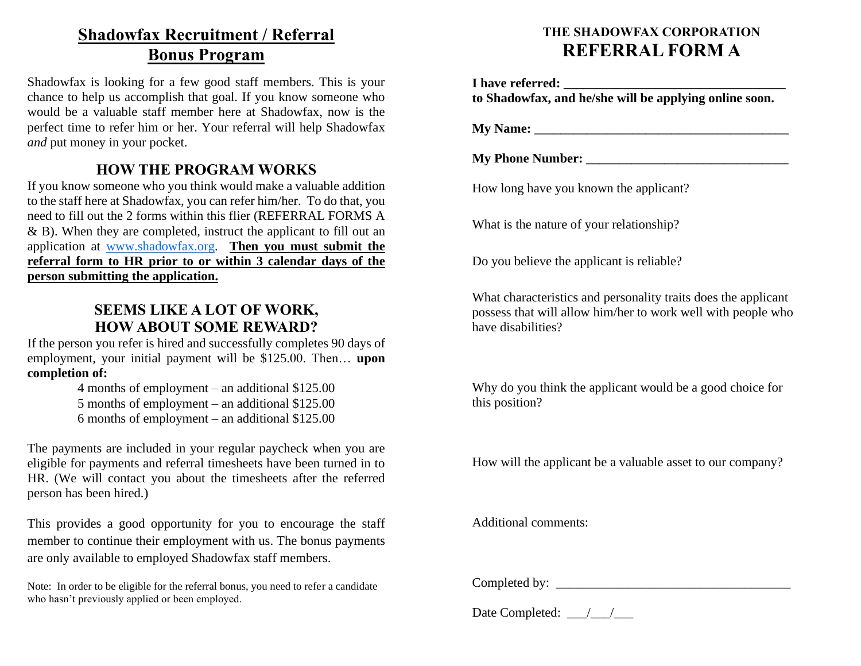## **Shadowfax Recruitment / Referral Bonus Program**

Shadowfax is looking for a few good staff members. This is your chance to help us accomplish that goal. If you know someone who would be a valuable staff member here at Shadowfax, now is the perfect time to refer him or her. Your referral will help Shadowfax *and* put money in your pocket.

## **HOW THE PROGRAM WORKS**

If you know someone who you think would make a valuable addition to the staff here at Shadowfax, you can refer him/her. To do that, you need to fill out the 2 forms within this flier (REFERRAL FORMS A & B). When they are completed, instruct the applicant to fill out an application at www.shadowfax.org. **Then you must submit the referral form to HR prior to or within 3 calendar days of the person submitting the application.**

### **SEEMS LIKE A LOT OF WORK, HOW ABOUT SOME REWARD?**

If the person you refer is hired and successfully completes 90 days of employment, your initial payment will be \$125.00. Then… **upon completion of:**

> 4 months of employment – an additional \$125.00 5 months of employment – an additional \$125.00 6 months of employment – an additional \$125.00

The payments are included in your regular paycheck when you are eligible for payments and referral timesheets have been turned in to HR. (We will contact you about the timesheets after the referred person has been hired.)

This provides a good opportunity for you to encourage the staff member to continue their employment with us. The bonus payments are only available to employed Shadowfax staff members.

Note: In order to be eligible for the referral bonus, you need to refer a candidate who hasn't previously applied or been employed.

## **THE SHADOWFAX CORPORATION REFERRAL FORM A**

**I** have referred: **to Shadowfax, and he/she will be applying online soon.**

**My Name: \_\_\_\_\_\_\_\_\_\_\_\_\_\_\_\_\_\_\_\_\_\_\_\_\_\_\_\_\_\_\_\_\_\_\_\_\_\_\_**

**My Phone Number: \_\_\_\_\_\_\_\_\_\_\_\_\_\_\_\_\_\_\_\_\_\_\_\_\_\_\_\_\_\_\_**

How long have you known the applicant?

What is the nature of your relationship?

Do you believe the applicant is reliable?

What characteristics and personality traits does the applicant possess that will allow him/her to work well with people who have disabilities?

Why do you think the applicant would be a good choice for this position?

How will the applicant be a valuable asset to our company?

Additional comments:

Completed by:

Date Completed:  $\frac{1}{2}$